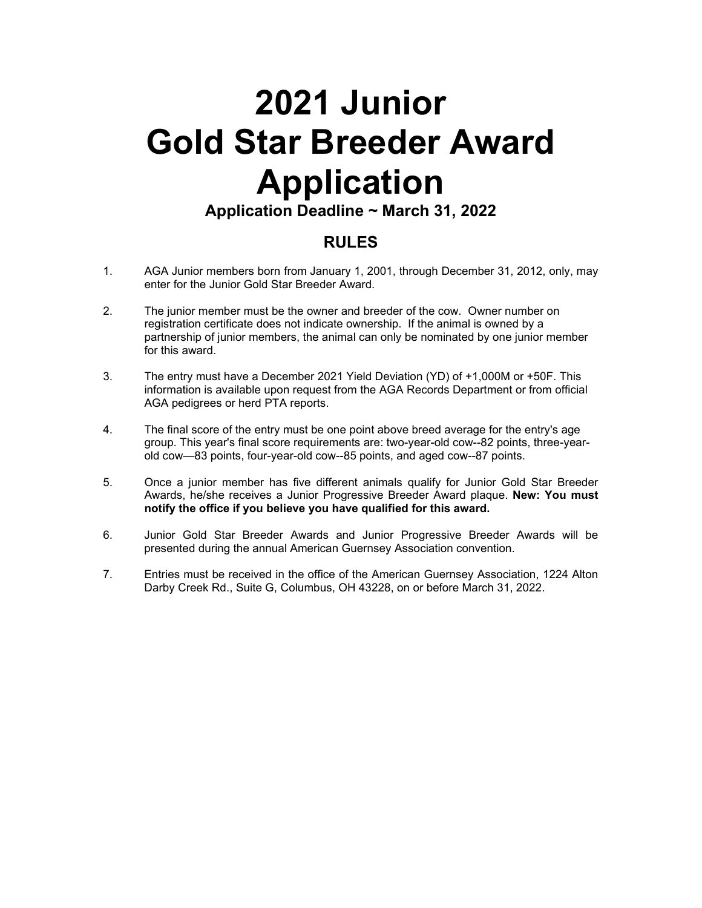## **2021 Junior Gold Star Breeder Award Application**

**Application Deadline ~ March 31, 2022**

## **RULES**

- 1. AGA Junior members born from January 1, 2001, through December 31, 2012, only, may enter for the Junior Gold Star Breeder Award.
- 2. The junior member must be the owner and breeder of the cow. Owner number on registration certificate does not indicate ownership. If the animal is owned by a partnership of junior members, the animal can only be nominated by one junior member for this award.
- 3. The entry must have a December 2021 Yield Deviation (YD) of +1,000M or +50F. This information is available upon request from the AGA Records Department or from official AGA pedigrees or herd PTA reports.
- 4. The final score of the entry must be one point above breed average for the entry's age group. This year's final score requirements are: two-year-old cow--82 points, three-yearold cow—83 points, four-year-old cow--85 points, and aged cow--87 points.
- 5. Once a junior member has five different animals qualify for Junior Gold Star Breeder Awards, he/she receives a Junior Progressive Breeder Award plaque. **New: You must notify the office if you believe you have qualified for this award.**
- 6. Junior Gold Star Breeder Awards and Junior Progressive Breeder Awards will be presented during the annual American Guernsey Association convention.
- 7. Entries must be received in the office of the American Guernsey Association, 1224 Alton Darby Creek Rd., Suite G, Columbus, OH 43228, on or before March 31, 2022.